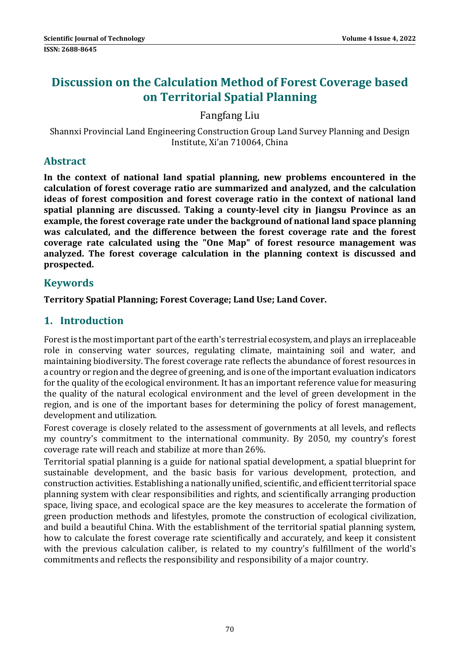# **Discussion on the Calculation Method of Forest Coverage based on Territorial Spatial Planning**

## Fangfang Liu

Shannxi Provincial Land Engineering Construction Group Land Survey Planning and Design Institute, Xi'an 710064, China 

#### **Abstract**

**In the context of national land spatial planning, new problems encountered in the calculation of forest coverage ratio are summarized and analyzed, and the calculation ideas of forest composition and forest coverage ratio in the context of national land spatial planning are discussed. Taking a county‐level city in Jiangsu Province as an example, the forest coverage rate under the background of national land space planning was calculated, and the difference between the forest coverage rate and the forest coverage rate calculated using the "One Map" of forest resource management was analyzed. The forest coverage calculation in the planning context is discussed and prospected.**

## **Keywords**

**Territory Spatial Planning; Forest Coverage; Land Use; Land Cover.**

## **1. Introduction**

Forest is the most important part of the earth's terrestrial ecosystem, and plays an irreplaceable role in conserving water sources, regulating climate, maintaining soil and water, and maintaining biodiversity. The forest coverage rate reflects the abundance of forest resources in a country or region and the degree of greening, and is one of the important evaluation indicators for the quality of the ecological environment. It has an important reference value for measuring the quality of the natural ecological environment and the level of green development in the region, and is one of the important bases for determining the policy of forest management, development and utilization.

Forest coverage is closely related to the assessment of governments at all levels, and reflects my country's commitment to the international community. By 2050, my country's forest coverage rate will reach and stabilize at more than 26%.

Territorial spatial planning is a guide for national spatial development, a spatial blueprint for sustainable development, and the basic basis for various development, protection, and construction activities. Establishing a nationally unified, scientific, and efficient territorial space planning system with clear responsibilities and rights, and scientifically arranging production space, living space, and ecological space are the key measures to accelerate the formation of green production methods and lifestyles, promote the construction of ecological civilization, and build a beautiful China. With the establishment of the territorial spatial planning system, how to calculate the forest coverage rate scientifically and accurately, and keep it consistent with the previous calculation caliber, is related to my country's fulfillment of the world's commitments and reflects the responsibility and responsibility of a major country.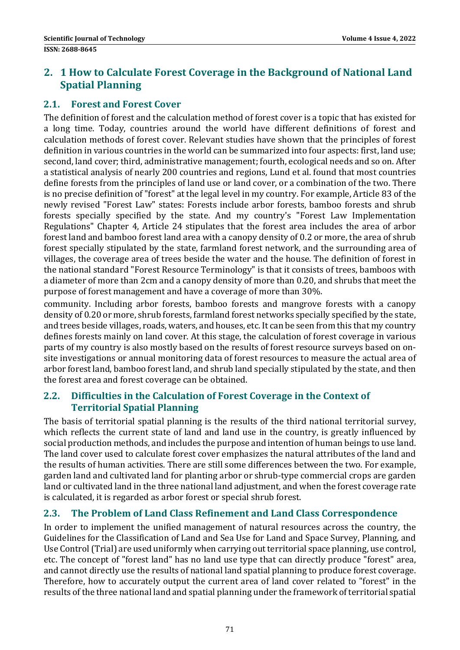# **2. 1 How to Calculate Forest Coverage in the Background of National Land Spatial Planning**

## **2.1. Forest and Forest Cover**

The definition of forest and the calculation method of forest cover is a topic that has existed for a long time. Today, countries around the world have different definitions of forest and calculation methods of forest cover. Relevant studies have shown that the principles of forest definition in various countries in the world can be summarized into four aspects: first, land use; second, land cover; third, administrative management; fourth, ecological needs and so on. After a statistical analysis of nearly 200 countries and regions, Lund et al. found that most countries define forests from the principles of land use or land cover, or a combination of the two. There is no precise definition of "forest" at the legal level in my country. For example, Article 83 of the newly revised "Forest Law" states: Forests include arbor forests, bamboo forests and shrub forests specially specified by the state. And my country's "Forest Law Implementation Regulations" Chapter 4, Article 24 stipulates that the forest area includes the area of arbor forest land and bamboo forest land area with a canopy density of 0.2 or more, the area of shrub forest specially stipulated by the state, farmland forest network, and the surrounding area of villages, the coverage area of trees beside the water and the house. The definition of forest in the national standard "Forest Resource Terminology" is that it consists of trees, bamboos with a diameter of more than 2cm and a canopy density of more than 0.20, and shrubs that meet the purpose of forest management and have a coverage of more than 30%.

community. Including arbor forests, bamboo forests and mangrove forests with a canopy density of 0.20 or more, shrub forests, farmland forest networks specially specified by the state, and trees beside villages, roads, waters, and houses, etc. It can be seen from this that my country defines forests mainly on land cover. At this stage, the calculation of forest coverage in various parts of my country is also mostly based on the results of forest resource surveys based on onsite investigations or annual monitoring data of forest resources to measure the actual area of arbor forest land, bamboo forest land, and shrub land specially stipulated by the state, and then the forest area and forest coverage can be obtained.

#### **2.2. Difficulties in the Calculation of Forest Coverage in the Context of Territorial Spatial Planning**

The basis of territorial spatial planning is the results of the third national territorial survey, which reflects the current state of land and land use in the country, is greatly influenced by social production methods, and includes the purpose and intention of human beings to use land. The land cover used to calculate forest cover emphasizes the natural attributes of the land and the results of human activities. There are still some differences between the two. For example, garden land and cultivated land for planting arbor or shrub-type commercial crops are garden land or cultivated land in the three national land adjustment, and when the forest coverage rate is calculated, it is regarded as arbor forest or special shrub forest.

## **2.3. The Problem of Land Class Refinement and Land Class Correspondence**

In order to implement the unified management of natural resources across the country, the Guidelines for the Classification of Land and Sea Use for Land and Space Survey, Planning, and Use Control (Trial) are used uniformly when carrying out territorial space planning, use control, etc. The concept of "forest land" has no land use type that can directly produce "forest" area, and cannot directly use the results of national land spatial planning to produce forest coverage. Therefore, how to accurately output the current area of land cover related to "forest" in the results of the three national land and spatial planning under the framework of territorial spatial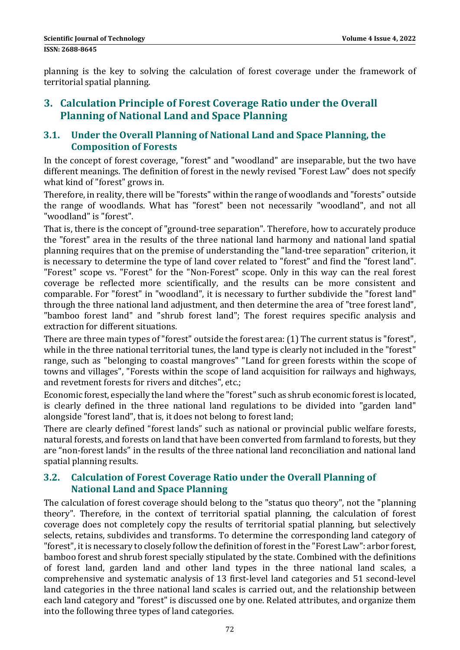planning is the key to solving the calculation of forest coverage under the framework of territorial spatial planning.

# **3. Calculation Principle of Forest Coverage Ratio under the Overall Planning of National Land and Space Planning**

## **3.1. Under the Overall Planning of National Land and Space Planning, the Composition of Forests**

In the concept of forest coverage, "forest" and "woodland" are inseparable, but the two have different meanings. The definition of forest in the newly revised "Forest Law" does not specify what kind of "forest" grows in.

Therefore, in reality, there will be "forests" within the range of woodlands and "forests" outside the range of woodlands. What has "forest" been not necessarily "woodland", and not all "woodland" is "forest".

That is, there is the concept of "ground-tree separation". Therefore, how to accurately produce the "forest" area in the results of the three national land harmony and national land spatial planning requires that on the premise of understanding the "land-tree separation" criterion, it is necessary to determine the type of land cover related to "forest" and find the "forest land". "Forest" scope vs. "Forest" for the "Non-Forest" scope. Only in this way can the real forest coverage be reflected more scientifically, and the results can be more consistent and comparable. For "forest" in "woodland", it is necessary to further subdivide the "forest land" through the three national land adjustment, and then determine the area of "tree forest land", "bamboo forest land" and "shrub forest land"; The forest requires specific analysis and extraction for different situations.

There are three main types of "forest" outside the forest area: (1) The current status is "forest", while in the three national territorial tunes, the land type is clearly not included in the "forest" range, such as "belonging to coastal mangroves" "Land for green forests within the scope of towns and villages", "Forests within the scope of land acquisition for railways and highways, and revetment forests for rivers and ditches", etc.;

Economic forest, especially the land where the "forest" such as shrub economic forest is located, is clearly defined in the three national land regulations to be divided into "garden land" alongside "forest land", that is, it does not belong to forest land;

There are clearly defined "forest lands" such as national or provincial public welfare forests, natural forests, and forests on land that have been converted from farmland to forests, but they are "non-forest lands" in the results of the three national land reconciliation and national land spatial planning results.

#### **3.2. Calculation of Forest Coverage Ratio under the Overall Planning of National Land and Space Planning**

The calculation of forest coverage should belong to the "status quo theory", not the "planning theory". Therefore, in the context of territorial spatial planning, the calculation of forest coverage does not completely copy the results of territorial spatial planning, but selectively selects, retains, subdivides and transforms. To determine the corresponding land category of "forest", it is necessary to closely follow the definition of forest in the "Forest Law": arbor forest, bamboo forest and shrub forest specially stipulated by the state. Combined with the definitions of forest land, garden land and other land types in the three national land scales, a comprehensive and systematic analysis of 13 first-level land categories and 51 second-level land categories in the three national land scales is carried out, and the relationship between each land category and "forest" is discussed one by one. Related attributes, and organize them into the following three types of land categories.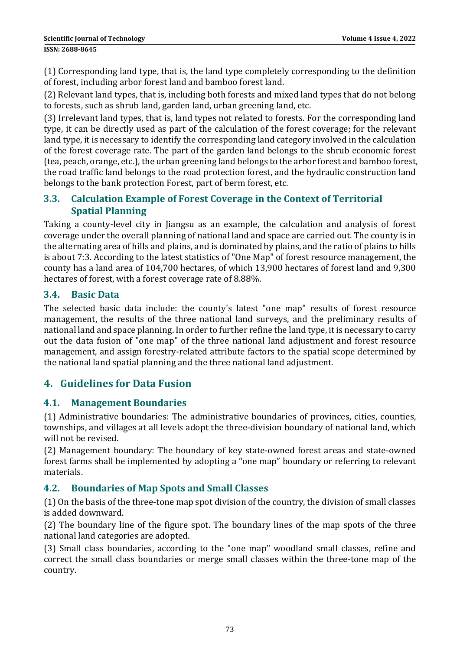(1) Corresponding land type, that is, the land type completely corresponding to the definition of forest, including arbor forest land and bamboo forest land.

(2) Relevant land types, that is, including both forests and mixed land types that do not belong to forests, such as shrub land, garden land, urban greening land, etc.

(3) Irrelevant land types, that is, land types not related to forests. For the corresponding land type, it can be directly used as part of the calculation of the forest coverage; for the relevant land type, it is necessary to identify the corresponding land category involved in the calculation of the forest coverage rate. The part of the garden land belongs to the shrub economic forest (tea, peach, orange, etc.), the urban greening land belongs to the arbor forest and bamboo forest, the road traffic land belongs to the road protection forest, and the hydraulic construction land belongs to the bank protection Forest, part of berm forest, etc.

#### **3.3. Calculation Example of Forest Coverage in the Context of Territorial Spatial Planning**

Taking a county-level city in Jiangsu as an example, the calculation and analysis of forest coverage under the overall planning of national land and space are carried out. The county is in the alternating area of hills and plains, and is dominated by plains, and the ratio of plains to hills is about 7:3. According to the latest statistics of "One Map" of forest resource management, the county has a land area of 104,700 hectares, of which 13,900 hectares of forest land and 9,300 hectares of forest, with a forest coverage rate of 8.88%.

#### **3.4. Basic Data**

The selected basic data include: the county's latest "one map" results of forest resource management, the results of the three national land surveys, and the preliminary results of national land and space planning. In order to further refine the land type, it is necessary to carry out the data fusion of "one map" of the three national land adjustment and forest resource management, and assign forestry-related attribute factors to the spatial scope determined by the national land spatial planning and the three national land adjustment.

# **4. Guidelines for Data Fusion**

#### **4.1. Management Boundaries**

(1) Administrative boundaries: The administrative boundaries of provinces, cities, counties, townships, and villages at all levels adopt the three-division boundary of national land, which will not be revised.

(2) Management boundary: The boundary of key state-owned forest areas and state-owned forest farms shall be implemented by adopting a "one map" boundary or referring to relevant materials. 

## **4.2. Boundaries of Map Spots and Small Classes**

 $(1)$  On the basis of the three-tone map spot division of the country, the division of small classes is added downward.

(2) The boundary line of the figure spot. The boundary lines of the map spots of the three national land categories are adopted.

(3) Small class boundaries, according to the "one map" woodland small classes, refine and correct the small class boundaries or merge small classes within the three-tone map of the country.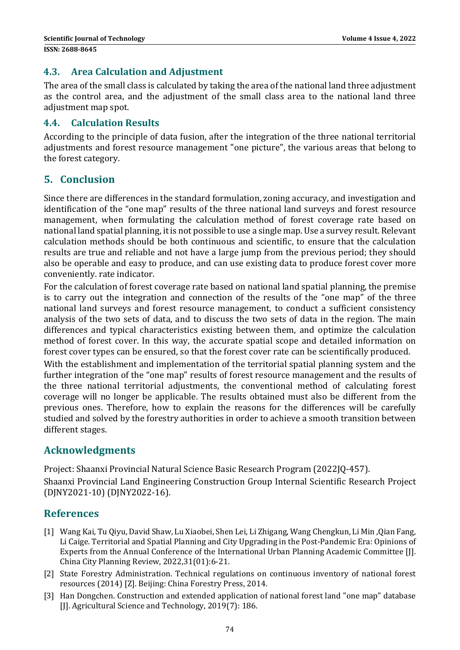#### **4.3. Area Calculation and Adjustment**

The area of the small class is calculated by taking the area of the national land three adjustment as the control area, and the adjustment of the small class area to the national land three adjustment map spot.

#### **4.4. Calculation Results**

According to the principle of data fusion, after the integration of the three national territorial adjustments and forest resource management "one picture", the various areas that belong to the forest category.

## **5. Conclusion**

Since there are differences in the standard formulation, zoning accuracy, and investigation and identification of the "one map" results of the three national land surveys and forest resource management, when formulating the calculation method of forest coverage rate based on national land spatial planning, it is not possible to use a single map. Use a survey result. Relevant calculation methods should be both continuous and scientific, to ensure that the calculation results are true and reliable and not have a large jump from the previous period; they should also be operable and easy to produce, and can use existing data to produce forest cover more conveniently. rate indicator.

For the calculation of forest coverage rate based on national land spatial planning, the premise is to carry out the integration and connection of the results of the "one map" of the three national land surveys and forest resource management, to conduct a sufficient consistency analysis of the two sets of data, and to discuss the two sets of data in the region. The main differences and typical characteristics existing between them, and optimize the calculation method of forest cover. In this way, the accurate spatial scope and detailed information on forest cover types can be ensured, so that the forest cover rate can be scientifically produced.

With the establishment and implementation of the territorial spatial planning system and the further integration of the "one map" results of forest resource management and the results of the three national territorial adjustments, the conventional method of calculating forest coverage will no longer be applicable. The results obtained must also be different from the previous ones. Therefore, how to explain the reasons for the differences will be carefully studied and solved by the forestry authorities in order to achieve a smooth transition between different stages.

## **Acknowledgments**

Project: Shaanxi Provincial Natural Science Basic Research Program (2022JO-457). Shaanxi Provincial Land Engineering Construction Group Internal Scientific Research Project (DJNY2021‐10) (DJNY2022‐16). 

## **References**

- [1] Wang Kai, Tu Qiyu, David Shaw, Lu Xiaobei, Shen Lei, Li Zhigang, Wang Chengkun, Li Min ,Qian Fang, Li Caige. Territorial and Spatial Planning and City Upgrading in the Post-Pandemic Era: Opinions of Experts from the Annual Conference of the International Urban Planning Academic Committee [J]. China City Planning Review, 2022,31(01):6-21.
- [2] State Forestry Administration. Technical regulations on continuous inventory of national forest resources (2014) [Z]. Beijing: China Forestry Press, 2014.
- [3] Han Dongchen. Construction and extended application of national forest land "one map" database [J]. Agricultural Science and Technology, 2019(7): 186.